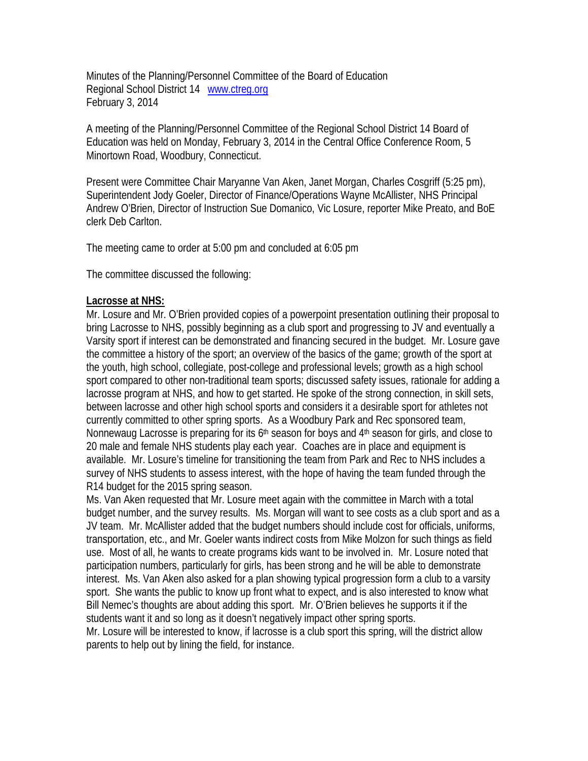Minutes of the Planning/Personnel Committee of the Board of Education Regional School District 14 www.ctreg.org February 3, 2014

A meeting of the Planning/Personnel Committee of the Regional School District 14 Board of Education was held on Monday, February 3, 2014 in the Central Office Conference Room, 5 Minortown Road, Woodbury, Connecticut.

Present were Committee Chair Maryanne Van Aken, Janet Morgan, Charles Cosgriff (5:25 pm), Superintendent Jody Goeler, Director of Finance/Operations Wayne McAllister, NHS Principal Andrew O'Brien, Director of Instruction Sue Domanico, Vic Losure, reporter Mike Preato, and BoE clerk Deb Carlton.

The meeting came to order at 5:00 pm and concluded at 6:05 pm

The committee discussed the following:

## **Lacrosse at NHS:**

Mr. Losure and Mr. O'Brien provided copies of a powerpoint presentation outlining their proposal to bring Lacrosse to NHS, possibly beginning as a club sport and progressing to JV and eventually a Varsity sport if interest can be demonstrated and financing secured in the budget. Mr. Losure gave the committee a history of the sport; an overview of the basics of the game; growth of the sport at the youth, high school, collegiate, post-college and professional levels; growth as a high school sport compared to other non-traditional team sports; discussed safety issues, rationale for adding a lacrosse program at NHS, and how to get started. He spoke of the strong connection, in skill sets, between lacrosse and other high school sports and considers it a desirable sport for athletes not currently committed to other spring sports. As a Woodbury Park and Rec sponsored team, Nonnewaug Lacrosse is preparing for its  $6<sup>th</sup>$  season for boys and  $4<sup>th</sup>$  season for girls, and close to 20 male and female NHS students play each year. Coaches are in place and equipment is available. Mr. Losure's timeline for transitioning the team from Park and Rec to NHS includes a survey of NHS students to assess interest, with the hope of having the team funded through the R14 budget for the 2015 spring season.

Ms. Van Aken requested that Mr. Losure meet again with the committee in March with a total budget number, and the survey results. Ms. Morgan will want to see costs as a club sport and as a JV team. Mr. McAllister added that the budget numbers should include cost for officials, uniforms, transportation, etc., and Mr. Goeler wants indirect costs from Mike Molzon for such things as field use. Most of all, he wants to create programs kids want to be involved in. Mr. Losure noted that participation numbers, particularly for girls, has been strong and he will be able to demonstrate interest. Ms. Van Aken also asked for a plan showing typical progression form a club to a varsity sport. She wants the public to know up front what to expect, and is also interested to know what Bill Nemec's thoughts are about adding this sport. Mr. O'Brien believes he supports it if the students want it and so long as it doesn't negatively impact other spring sports.

Mr. Losure will be interested to know, if lacrosse is a club sport this spring, will the district allow parents to help out by lining the field, for instance.